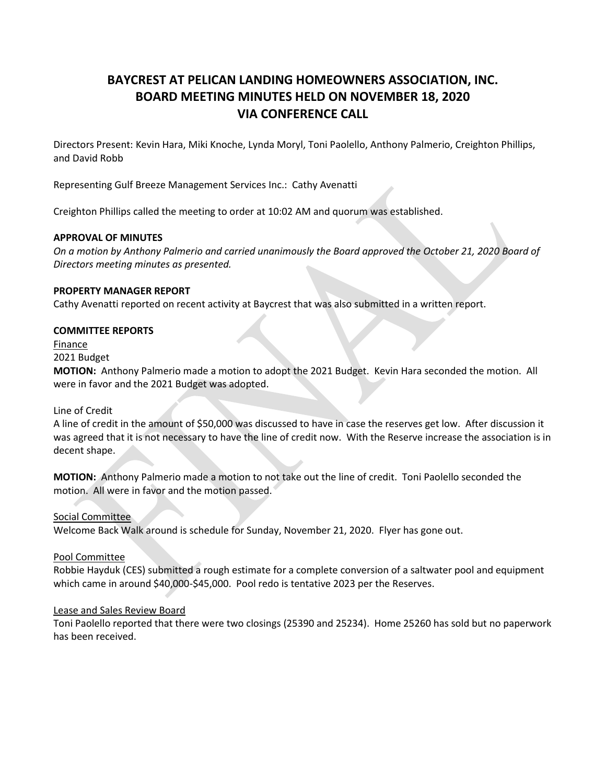# **BAYCREST AT PELICAN LANDING HOMEOWNERS ASSOCIATION, INC. BOARD MEETING MINUTES HELD ON NOVEMBER 18, 2020 VIA CONFERENCE CALL**

Directors Present: Kevin Hara, Miki Knoche, Lynda Moryl, Toni Paolello, Anthony Palmerio, Creighton Phillips, and David Robb

Representing Gulf Breeze Management Services Inc.: Cathy Avenatti

Creighton Phillips called the meeting to order at 10:02 AM and quorum was established.

## **APPROVAL OF MINUTES**

*On a motion by Anthony Palmerio and carried unanimously the Board approved the October 21, 2020 Board of Directors meeting minutes as presented.*

#### **PROPERTY MANAGER REPORT**

Cathy Avenatti reported on recent activity at Baycrest that was also submitted in a written report.

## **COMMITTEE REPORTS**

Finance

2021 Budget

**MOTION:** Anthony Palmerio made a motion to adopt the 2021 Budget. Kevin Hara seconded the motion. All were in favor and the 2021 Budget was adopted.

Line of Credit

A line of credit in the amount of \$50,000 was discussed to have in case the reserves get low. After discussion it was agreed that it is not necessary to have the line of credit now. With the Reserve increase the association is in decent shape.

**MOTION:** Anthony Palmerio made a motion to not take out the line of credit. Toni Paolello seconded the motion. All were in favor and the motion passed.

Social Committee Welcome Back Walk around is schedule for Sunday, November 21, 2020. Flyer has gone out.

Pool Committee

Robbie Hayduk (CES) submitted a rough estimate for a complete conversion of a saltwater pool and equipment which came in around \$40,000-\$45,000. Pool redo is tentative 2023 per the Reserves.

#### Lease and Sales Review Board

Toni Paolello reported that there were two closings (25390 and 25234). Home 25260 has sold but no paperwork has been received.